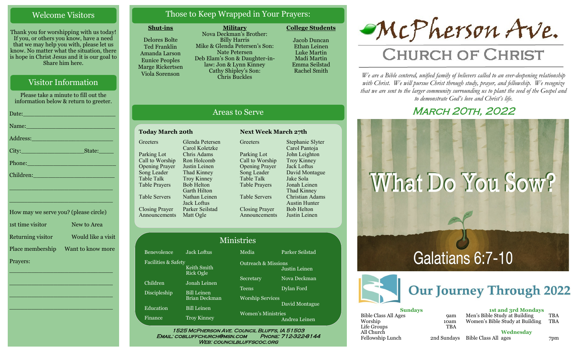# Welcome Visitors

Thank you for worshipping with us today! If you, or others you know, have a need that we may help you with, please let us know. No matter what the situation, there is hope in Christ Jesus and it is our goal to Share him here.

# Visitor Information

Please take a minute to fill out the information below & return to greeter.

|                                                                                                                    | Date: 2008 - 2008 - 2010 - 2010 - 2010 - 2011 - 2012 - 2012 - 2014 - 2014 - 2014 - 2014 - 2014 - 2014 - 2014 -  |
|--------------------------------------------------------------------------------------------------------------------|-----------------------------------------------------------------------------------------------------------------|
|                                                                                                                    | Name: Name and the second contract of the second contract of the second contract of the second contract of the  |
| Address: 2008 and 2008 and 2008 and 2008 and 2008 and 2008 and 2008 and 2008 and 2008 and 2008 and 2008 and 20     |                                                                                                                 |
|                                                                                                                    |                                                                                                                 |
|                                                                                                                    |                                                                                                                 |
| Children: Maria Children Children Children Children Children Children Children Children Children Children Children |                                                                                                                 |
|                                                                                                                    | the contract of the contract of the contract of the contract of the contract of the contract of the contract of |

| How may we serve you? (please circle) |                    |
|---------------------------------------|--------------------|
| 1st time visitor                      | New to Area        |
| Returning visitor                     | Would like a visit |
| Place membership                      | Want to know more  |
| Prayers:                              |                    |

\_\_\_\_\_\_\_\_\_\_\_\_\_\_\_\_\_\_\_\_\_\_\_\_\_\_\_\_

 $\overline{\phantom{a}}$  , and the set of the set of the set of the set of the set of the set of the set of the set of the set of the set of the set of the set of the set of the set of the set of the set of the set of the set of the s

 $\overline{\phantom{a}}$  , and the set of the set of the set of the set of the set of the set of the set of the set of the set of the set of the set of the set of the set of the set of the set of the set of the set of the set of the s

\_\_\_\_\_\_\_\_\_\_\_\_\_\_\_\_\_\_\_\_\_\_\_\_\_\_\_\_

\_\_\_\_\_\_\_\_\_\_\_\_\_\_\_\_\_\_\_\_\_\_\_\_\_\_\_\_

# Those to Keep Wrapped in Your Prayers:

#### **Shut-ins**

Delores Bolte Ted Franklin Amanda Larson Eunice Peoples Marge Rickertsen Viola Sorenson

**Military** Nova Deckman's Brother: Billy Harris Mike & Glenda Petersen's Son: Nate Petersen Deb Elam's Son & Daughter-in-:<br>inney  $S$ on: Chris Buckles

Jacob Duncan Ethan Leinen Luke Martin

**College Students** 



# **CHURCH OF CHRIST**

*We are a Bible centered, unified family of believers called to an ever-deepening relationship*  with Christ. We will pursue Christ through study, prayer, and fellowship. We recognize *that we are sent to the larger community surrounding us to plant the seed of the Gospel and to demonstrate God's love and Christ's life.*

# **MARCH 20TH, 2022**



| <b>Our Journey</b> |
|--------------------|
|                    |
| Men's              |
| Wome               |
|                    |
|                    |
| Bible              |
|                    |

**1st and 3rd Mondays** Bible Study at Building TBA en's Bible Study at Building TBA

> **Wednesday** Bible Class All ages 7pm

| там: JOII & Lупп N   |
|----------------------|
| Cathy Shipley's S    |
| <b>Chris Buckles</b> |
|                      |
|                      |

Madi Martin Emma Seilstad Rachel Smith

# Areas to Serve

# **Today March 20th Next Week March 27th**

**Greeters** Parking Lot Call to Worship Opening Prayer Song Leader Table Talk Table Prayers Table Servers Closing Prayer Announcements Matt Ogle Glenda Petersen Carol Koletzke Chris Adams Ron Holcomb Justin Leinen Thad Kinney Troy Kinney Bob Helton Garth Hilton Nathan Leinen Jack Loftus Parker Seilstad

Bene Facil

Child Disci

Educ Finan

**Greeters** Parking Lot Call to Worship Opening Prayer Song Leader Table Talk Table Prayers Table Servers Closing Prayer Announcements Stephanie Slyter Carol Pantoja John Leighton Troy Kinney Jack Loftus David Montague Jake Sola Jonah Leinen Thad Kinney Christian Adams Austin Hunter Bob Helton Justin Leinen

| Ministries     |                                              |                                |                 |
|----------------|----------------------------------------------|--------------------------------|-----------------|
| volence        | <b>Jack Loftus</b>                           | Media                          | Parker Seilstad |
| ities & Safety | Keith Smith<br>Rick Ogle                     | <b>Outreach &amp; Missions</b> | Justin Leinen   |
| ren            | Jonah Leinen                                 | Secretary                      | Nova Deckman    |
| pleship        | <b>Bill Leinen</b>                           | <b>Teens</b>                   | Dylan Ford      |
|                | Brian Deckman                                | <b>Worship Services</b>        | David Montague  |
|                | <b>Bill Leinen</b>                           |                                |                 |
|                | <b>Troy Kinney</b>                           |                                | Andrea Leinen   |
| ation<br>ice   | 1525 MCPHERSON AVE. COUNCIL BLUFFS, IA 51503 | <b>Women's Ministries</b>      |                 |

Email: cobluffchurch@msn.com Phone: 712-322-8144 **WEB: COUNCILBLUFFSCOC.ORG**